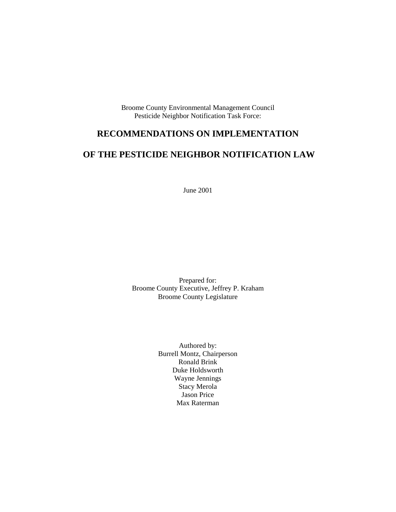Broome County Environmental Management Council Pesticide Neighbor Notification Task Force:

# **RECOMMENDATIONS ON IMPLEMENTATION**

# **OF THE PESTICIDE NEIGHBOR NOTIFICATION LAW**

June 2001

Prepared for: Broome County Executive, Jeffrey P. Kraham Broome County Legislature

> Authored by: Burrell Montz, Chairperson Ronald Brink Duke Holdsworth Wayne Jennings Stacy Merola Jason Price Max Raterman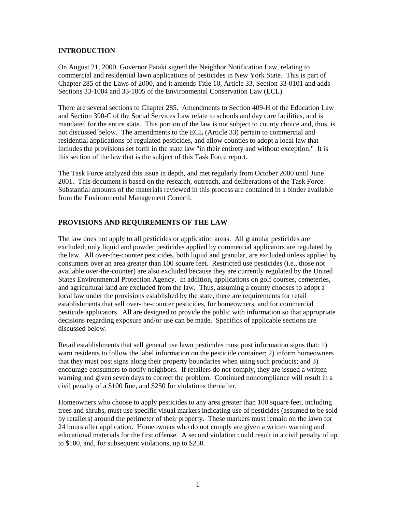#### **INTRODUCTION**

On August 21, 2000, Governor Pataki signed the Neighbor Notification Law, relating to commercial and residential lawn applications of pesticides in New York State. This is part of Chapter 285 of the Laws of 2000, and it amends Title 10, Article 33, Section 33-0101 and adds Sections 33-1004 and 33-1005 of the Environmental Conservation Law (ECL).

There are several sections to Chapter 285. Amendments to Section 409-H of the Education Law and Section 390-C of the Social Services Law relate to schools and day care facilities, and is mandated for the entire state. This portion of the law is not subject to county choice and, thus, is not discussed below*.* The amendments to the ECL (Article 33) pertain to commercial and residential applications of regulated pesticides, and allow counties to adopt a local law that includes the provisions set forth in the state law "in their entirety and without exception." It is this section of the law that is the subject of this Task Force report.

The Task Force analyzed this issue in depth, and met regularly from October 2000 until June 2001. This document is based on the research, outreach, and deliberations of the Task Force. Substantial amounts of the materials reviewed in this process are contained in a binder available from the Environmental Management Council.

### **PROVISIONS AND REQUIREMENTS OF THE LAW**

The law does not apply to all pesticides or application areas. All granular pesticides are excluded; only liquid and powder pesticides applied by commercial applicators are regulated by the law. All over-the-counter pesticides, both liquid and granular, are excluded unless applied by consumers over an area greater than 100 square feet. Restricted use pesticides (i.e., those not available over-the-counter) are also excluded because they are currently regulated by the United States Environmental Protection Agency. In addition, applications on golf courses, cemeteries, and agricultural land are excluded from the law. Thus, assuming a county chooses to adopt a local law under the provisions established by the state, there are requirements for retail establishments that sell over-the-counter pesticides, for homeowners, and for commercial pesticide applicators. All are designed to provide the public with information so that appropriate decisions regarding exposure and/or use can be made. Specifics of applicable sections are discussed below.

Retail establishments that sell general use lawn pesticides must post information signs that: 1) warn residents to follow the label information on the pesticide container; 2) inform homeowners that they must post signs along their property boundaries when using such products; and 3) encourage consumers to notify neighbors. If retailers do not comply, they are issued a written warning and given seven days to correct the problem. Continued noncompliance will result in a civil penalty of a \$100 fine, and \$250 for violations thereafter.

Homeowners who choose to apply pesticides to any area greater than 100 square feet, including trees and shrubs, must use specific visual markers indicating use of pesticides (assumed to be sold by retailers) around the perimeter of their property. These markers must remain on the lawn for 24 hours after application. Homeowners who do not comply are given a written warning and educational materials for the first offense. A second violation could result in a civil penalty of up to \$100, and, for subsequent violations, up to \$250.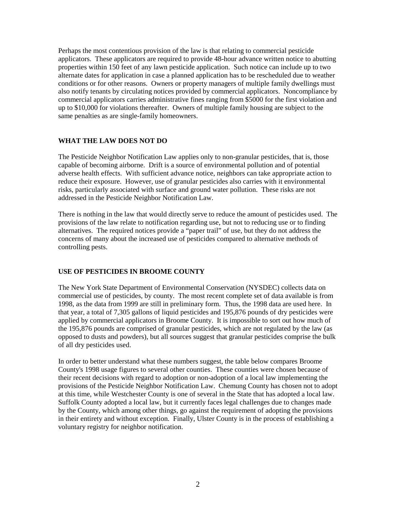Perhaps the most contentious provision of the law is that relating to commercial pesticide applicators. These applicators are required to provide 48-hour advance written notice to abutting properties within 150 feet of any lawn pesticide application. Such notice can include up to two alternate dates for application in case a planned application has to be rescheduled due to weather conditions or for other reasons. Owners or property managers of multiple family dwellings must also notify tenants by circulating notices provided by commercial applicators. Noncompliance by commercial applicators carries administrative fines ranging from \$5000 for the first violation and up to \$10,000 for violations thereafter. Owners of multiple family housing are subject to the same penalties as are single-family homeowners.

### **WHAT THE LAW DOES NOT DO**

The Pesticide Neighbor Notification Law applies only to non-granular pesticides, that is, those capable of becoming airborne. Drift is a source of environmental pollution and of potential adverse health effects. With sufficient advance notice, neighbors can take appropriate action to reduce their exposure. However, use of granular pesticides also carries with it environmental risks, particularly associated with surface and ground water pollution. These risks are not addressed in the Pesticide Neighbor Notification Law.

There is nothing in the law that would directly serve to reduce the amount of pesticides used. The provisions of the law relate to notification regarding use, but not to reducing use or to finding alternatives. The required notices provide a "paper trail" of use, but they do not address the concerns of many about the increased use of pesticides compared to alternative methods of controlling pests.

#### **USE OF PESTICIDES IN BROOME COUNTY**

The New York State Department of Environmental Conservation (NYSDEC) collects data on commercial use of pesticides, by county. The most recent complete set of data available is from 1998, as the data from 1999 are still in preliminary form. Thus, the 1998 data are used here. In that year, a total of 7,305 gallons of liquid pesticides and 195,876 pounds of dry pesticides were applied by commercial applicators in Broome County. It is impossible to sort out how much of the 195,876 pounds are comprised of granular pesticides, which are not regulated by the law (as opposed to dusts and powders), but all sources suggest that granular pesticides comprise the bulk of all dry pesticides used.

In order to better understand what these numbers suggest, the table below compares Broome County's 1998 usage figures to several other counties. These counties were chosen because of their recent decisions with regard to adoption or non-adoption of a local law implementing the provisions of the Pesticide Neighbor Notification Law. Chemung County has chosen not to adopt at this time, while Westchester County is one of several in the State that has adopted a local law. Suffolk County adopted a local law, but it currently faces legal challenges due to changes made by the County, which among other things, go against the requirement of adopting the provisions in their entirety and without exception. Finally, Ulster County is in the process of establishing a voluntary registry for neighbor notification.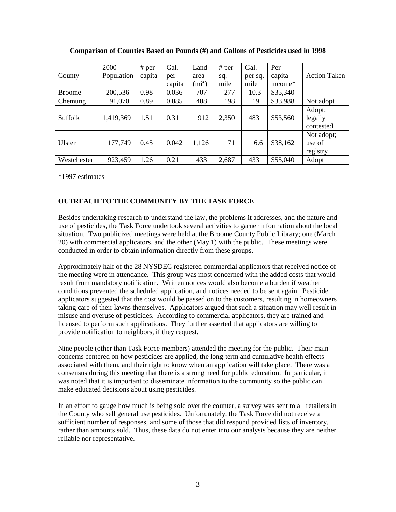|               | 2000       | # per  | Gal.   | Land          | # per | Gal.    | Per      |                     |
|---------------|------------|--------|--------|---------------|-------|---------|----------|---------------------|
| County        | Population | capita | per    | area          | sq.   | per sq. | capita   | <b>Action Taken</b> |
|               |            |        | capita | $\text{mi}^2$ | mile  | mile    | income*  |                     |
| <b>Broome</b> | 200,536    | 0.98   | 0.036  | 707           | 277   | 10.3    | \$35,340 |                     |
| Chemung       | 91,070     | 0.89   | 0.085  | 408           | 198   | 19      | \$33,988 | Not adopt           |
| Suffolk       | 1,419,369  | 1.51   | 0.31   | 912           | 2,350 | 483     | \$53,560 | Adopt;<br>legally   |
|               |            |        |        |               |       |         |          | contested           |
|               |            |        |        |               |       |         |          | Not adopt;          |
| Ulster        | 177,749    | 0.45   | 0.042  | 1,126         | 71    | 6.6     | \$38,162 | use of              |
|               |            |        |        |               |       |         |          | registry            |
| Westchester   | 923,459    | 1.26   | 0.21   | 433           | 2,687 | 433     | \$55,040 | Adopt               |

**Comparison of Counties Based on Pounds (#) and Gallons of Pesticides used in 1998** 

\*1997 estimates

# **OUTREACH TO THE COMMUNITY BY THE TASK FORCE**

Besides undertaking research to understand the law, the problems it addresses, and the nature and use of pesticides, the Task Force undertook several activities to garner information about the local situation. Two publicized meetings were held at the Broome County Public Library; one (March 20) with commercial applicators, and the other (May 1) with the public. These meetings were conducted in order to obtain information directly from these groups.

Approximately half of the 28 NYSDEC registered commercial applicators that received notice of the meeting were in attendance. This group was most concerned with the added costs that would result from mandatory notification. Written notices would also become a burden if weather conditions prevented the scheduled application, and notices needed to be sent again. Pesticide applicators suggested that the cost would be passed on to the customers, resulting in homeowners taking care of their lawns themselves. Applicators argued that such a situation may well result in misuse and overuse of pesticides. According to commercial applicators, they are trained and licensed to perform such applications. They further asserted that applicators are willing to provide notification to neighbors, if they request.

Nine people (other than Task Force members) attended the meeting for the public. Their main concerns centered on how pesticides are applied, the long-term and cumulative health effects associated with them, and their right to know when an application will take place. There was a consensus during this meeting that there is a strong need for public education. In particular, it was noted that it is important to disseminate information to the community so the public can make educated decisions about using pesticides.

In an effort to gauge how much is being sold over the counter, a survey was sent to all retailers in the County who sell general use pesticides. Unfortunately, the Task Force did not receive a sufficient number of responses, and some of those that did respond provided lists of inventory, rather than amounts sold. Thus, these data do not enter into our analysis because they are neither reliable nor representative.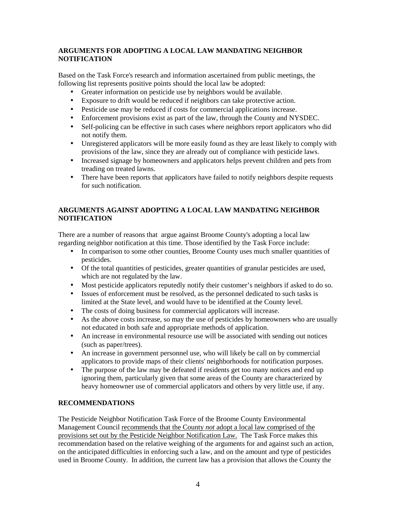## **ARGUMENTS FOR ADOPTING A LOCAL LAW MANDATING NEIGHBOR NOTIFICATION**

Based on the Task Force's research and information ascertained from public meetings, the following list represents positive points should the local law be adopted:

- Greater information on pesticide use by neighbors would be available.
- Exposure to drift would be reduced if neighbors can take protective action.
- Pesticide use may be reduced if costs for commercial applications increase.
- Enforcement provisions exist as part of the law, through the County and NYSDEC.
- Self-policing can be effective in such cases where neighbors report applicators who did not notify them.
- Unregistered applicators will be more easily found as they are least likely to comply with provisions of the law, since they are already out of compliance with pesticide laws.
- Increased signage by homeowners and applicators helps prevent children and pets from treading on treated lawns.
- There have been reports that applicators have failed to notify neighbors despite requests for such notification.

# **ARGUMENTS AGAINST ADOPTING A LOCAL LAW MANDATING NEIGHBOR NOTIFICATION**

There are a number of reasons that argue against Broome County's adopting a local law regarding neighbor notification at this time. Those identified by the Task Force include:

- In comparison to some other counties, Broome County uses much smaller quantities of pesticides.
- Of the total quantities of pesticides, greater quantities of granular pesticides are used, which are not regulated by the law.
- Most pesticide applicators reputedly notify their customer's neighbors if asked to do so.
- Issues of enforcement must be resolved, as the personnel dedicated to such tasks is limited at the State level, and would have to be identified at the County level.
- The costs of doing business for commercial applicators will increase.
- As the above costs increase, so may the use of pesticides by homeowners who are usually not educated in both safe and appropriate methods of application.
- An increase in environmental resource use will be associated with sending out notices (such as paper/trees).
- An increase in government personnel use, who will likely be call on by commercial applicators to provide maps of their clients' neighborhoods for notification purposes.
- The purpose of the law may be defeated if residents get too many notices and end up ignoring them, particularly given that some areas of the County are characterized by heavy homeowner use of commercial applicators and others by very little use, if any.

## **RECOMMENDATIONS**

The Pesticide Neighbor Notification Task Force of the Broome County Environmental Management Council recommends that the County *not* adopt a local law comprised of the provisions set out by the Pesticide Neighbor Notification Law. The Task Force makes this recommendation based on the relative weighing of the arguments for and against such an action, on the anticipated difficulties in enforcing such a law, and on the amount and type of pesticides used in Broome County. In addition, the current law has a provision that allows the County the